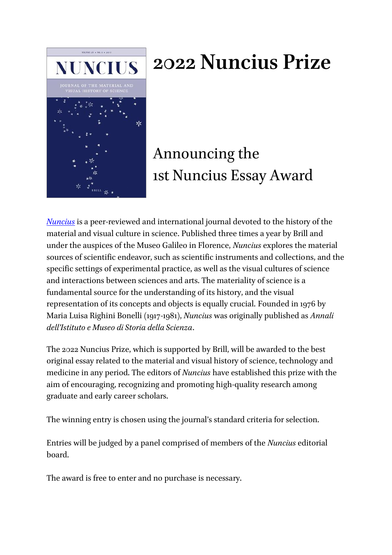

# **2022 Nuncius Prize**

# Announcing the 1st Nuncius Essay Award

*[Nuncius](https://brill.com/view/journals/nun/nun-overview.xml)* is a peer-reviewed and international journal devoted to the history of the material and visual culture in science. Published three times a year by Brill and under the auspices of the Museo Galileo in Florence, *Nuncius* explores the material sources of scientific endeavor, such as scientific instruments and collections, and the specific settings of experimental practice, as well as the visual cultures of science and interactions between sciences and arts. The materiality of science is a fundamental source for the understanding of its history, and the visual representation of its concepts and objects is equally crucial. Founded in 1976 by Maria Luisa Righini Bonelli (1917-1981), *Nuncius* was originally published as *Annali dell'Istituto e Museo di Storia della Scienza*.

The 2022 Nuncius Prize, which is supported by Brill, will be awarded to the best original essay related to the material and visual history of science, technology and medicine in any period. The editors of *Nuncius* have established this prize with the aim of encouraging, recognizing and promoting high-quality research among graduate and early career scholars.

The winning entry is chosen using the journal's standard criteria for selection.

Entries will be judged by a panel comprised of members of the *Nuncius* editorial board.

The award is free to enter and no purchase is necessary.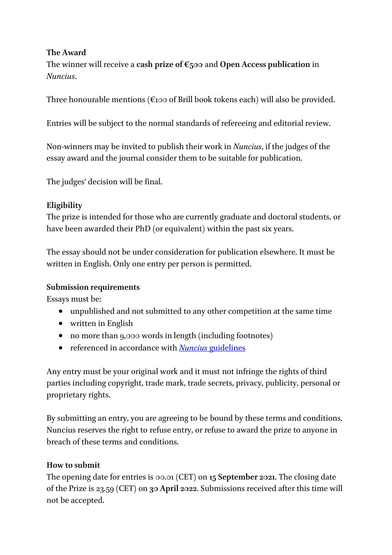#### **The Award**

The winner will receive a **cash prize of €500** and **Open Access publication** in *Nuncius*.

Three honourable mentions ( $\epsilon$ 100 of Brill book tokens each) will also be provided.

Entries will be subject to the normal standards of refereeing and editorial review.

Non-winners may be invited to publish their work in *Nuncius*, if the judges of the essay award and the journal consider them to be suitable for publication.

The judges' decision will be final.

# **Eligibility**

The prize is intended for those who are currently graduate and doctoral students, or have been awarded their PhD (or equivalent) within the past six years.

The essay should not be under consideration for publication elsewhere. It must be written in English. Only one entry per person is permitted.

## **Submission requirements**

Essays must be:

- unpublished and not submitted to any other competition at the same time
- written in English
- no more than 9,000 words in length (including footnotes)
- referenced in accordance with *Nuncius* [guidelines](https://brill.com/fileasset/downloads_products/Author_Instructions/NUN.pdf)

Any entry must be your original work and it must not infringe the rights of third parties including copyright, trade mark, trade secrets, privacy, publicity, personal or proprietary rights.

By submitting an entry, you are agreeing to be bound by these terms and conditions. Nuncius reserves the right to refuse entry, or refuse to award the prize to anyone in breach of these terms and conditions.

## **How to submit**

The opening date for entries is 00.01 (CET) on **15 September 2021**. The closing date of the Prize is 23.59 (CET) on **30 April 2022**. Submissions received after this time will not be accepted.